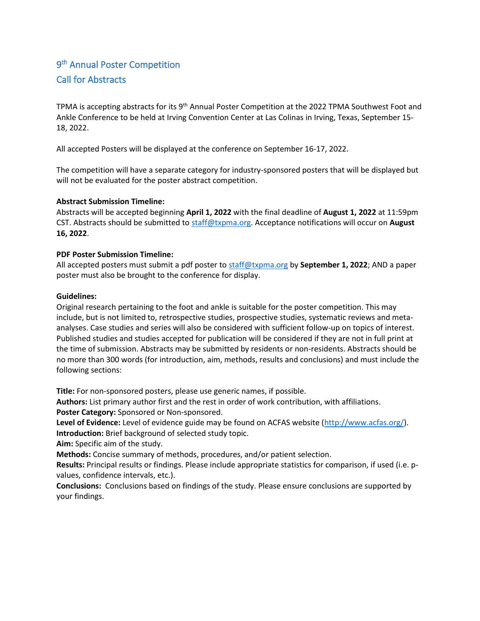# 9<sup>th</sup> Annual Poster Competition Call for Abstracts

TPMA is accepting abstracts for its 9<sup>th</sup> Annual Poster Competition at the 2022 TPMA Southwest Foot and Ankle Conference to be held at Irving Convention Center at Las Colinas in Irving, Texas, September 15- 18, 2022.

All accepted Posters will be displayed at the conference on September 16-17, 2022.

The competition will have a separate category for industry-sponsored posters that will be displayed but will not be evaluated for the poster abstract competition.

## **Abstract Submission Timeline:**

Abstracts will be accepted beginning **April 1, 2022** with the final deadline of **August 1, 2022** at 11:59pm CST. Abstracts should be submitted to [staff@txpma.org.](mailto:staff@txpma.org) Acceptance notifications will occur on **August 16, 2022**.

## **PDF Poster Submission Timeline:**

All accepted posters must submit a pdf poster t[o staff@txpma.org](mailto:staff@txpma.org) by **September 1, 2022**; AND a paper poster must also be brought to the conference for display.

## **Guidelines:**

Original research pertaining to the foot and ankle is suitable for the poster competition. This may include, but is not limited to, retrospective studies, prospective studies, systematic reviews and metaanalyses. Case studies and series will also be considered with sufficient follow-up on topics of interest. Published studies and studies accepted for publication will be considered if they are not in full print at the time of submission. Abstracts may be submitted by residents or non-residents. Abstracts should be no more than 300 words (for introduction, aim, methods, results and conclusions) and must include the following sections:

**Title:** For non-sponsored posters, please use generic names, if possible.

**Authors:** List primary author first and the rest in order of work contribution, with affiliations.

**Poster Category:** Sponsored or Non-sponsored.

**Level of Evidence:** Level of evidence guide may be found on ACFAS website [\(http://www.acfas.org/\)](http://www.acfas.org/). **Introduction:** Brief background of selected study topic.

**Aim:** Specific aim of the study.

**Methods:** Concise summary of methods, procedures, and/or patient selection.

**Results:** Principal results or findings. Please include appropriate statistics for comparison, if used (i.e. pvalues, confidence intervals, etc.).

**Conclusions:** Conclusions based on findings of the study. Please ensure conclusions are supported by your findings.